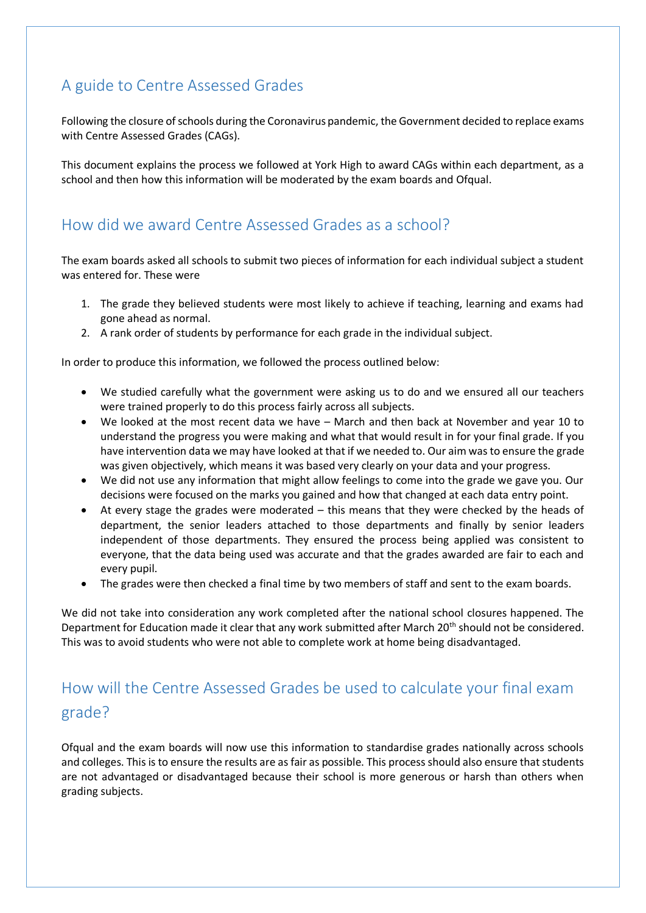## A guide to Centre Assessed Grades

Following the closure of schools during the Coronavirus pandemic, the Government decided to replace exams with Centre Assessed Grades (CAGs).

This document explains the process we followed at York High to award CAGs within each department, as a school and then how this information will be moderated by the exam boards and Ofqual.

## How did we award Centre Assessed Grades as a school?

The exam boards asked all schools to submit two pieces of information for each individual subject a student was entered for. These were

- 1. The grade they believed students were most likely to achieve if teaching, learning and exams had gone ahead as normal.
- 2. A rank order of students by performance for each grade in the individual subject.

In order to produce this information, we followed the process outlined below:

- We studied carefully what the government were asking us to do and we ensured all our teachers were trained properly to do this process fairly across all subjects.
- We looked at the most recent data we have March and then back at November and year 10 to understand the progress you were making and what that would result in for your final grade. If you have intervention data we may have looked at that if we needed to. Our aim was to ensure the grade was given objectively, which means it was based very clearly on your data and your progress.
- We did not use any information that might allow feelings to come into the grade we gave you. Our decisions were focused on the marks you gained and how that changed at each data entry point.
- At every stage the grades were moderated  $-$  this means that they were checked by the heads of department, the senior leaders attached to those departments and finally by senior leaders independent of those departments. They ensured the process being applied was consistent to everyone, that the data being used was accurate and that the grades awarded are fair to each and every pupil.
- The grades were then checked a final time by two members of staff and sent to the exam boards.

We did not take into consideration any work completed after the national school closures happened. The Department for Education made it clear that any work submitted after March 20<sup>th</sup> should not be considered. This was to avoid students who were not able to complete work at home being disadvantaged.

## How will the Centre Assessed Grades be used to calculate your final exam grade?

Ofqual and the exam boards will now use this information to standardise grades nationally across schools and colleges. This is to ensure the results are as fair as possible. This process should also ensure that students are not advantaged or disadvantaged because their school is more generous or harsh than others when grading subjects.